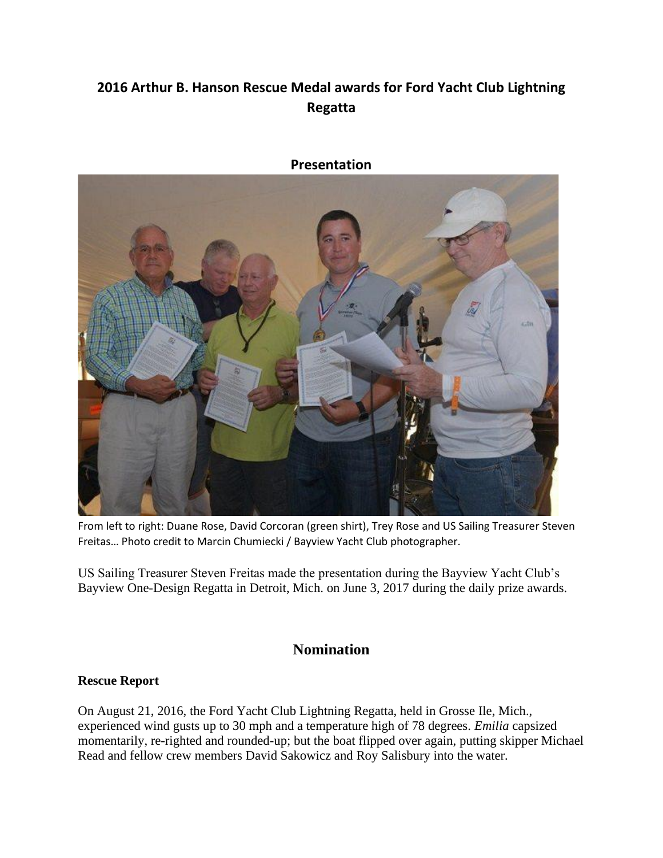## **2016 Arthur B. Hanson Rescue Medal awards for Ford Yacht Club Lightning Regatta**



**Presentation**

From left to right: Duane Rose, David Corcoran (green shirt), Trey Rose and US Sailing Treasurer Steven Freitas… Photo credit to Marcin Chumiecki / Bayview Yacht Club photographer.

US Sailing Treasurer Steven Freitas made the presentation during the Bayview Yacht Club's Bayview One-Design Regatta in Detroit, Mich. on June 3, 2017 during the daily prize awards.

### **Nomination**

#### **Rescue Report**

On August 21, 2016, the Ford Yacht Club Lightning Regatta, held in Grosse Ile, Mich., experienced wind gusts up to 30 mph and a temperature high of 78 degrees. *Emilia* capsized momentarily, re-righted and rounded-up; but the boat flipped over again, putting skipper Michael Read and fellow crew members David Sakowicz and Roy Salisbury into the water.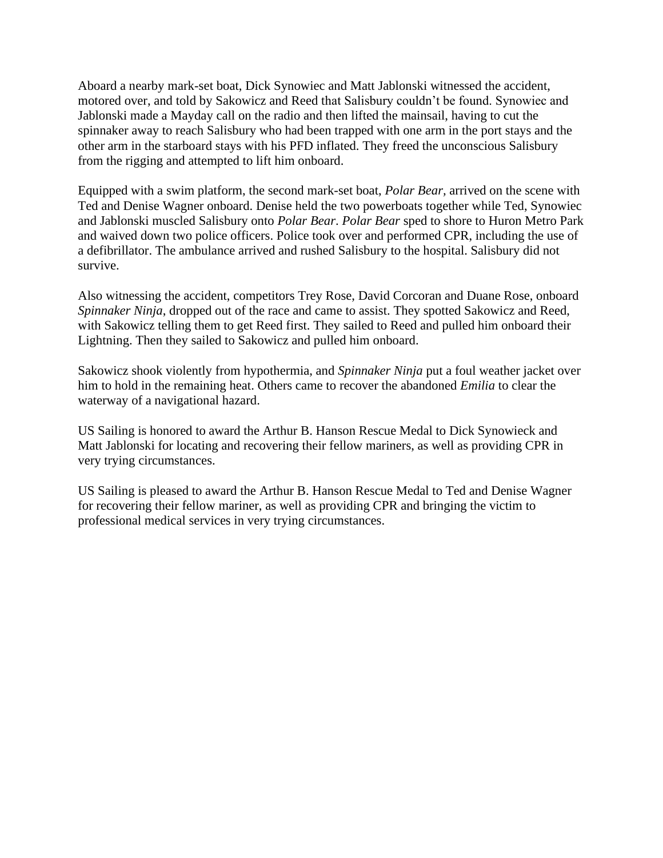Aboard a nearby mark-set boat, Dick Synowiec and Matt Jablonski witnessed the accident, motored over, and told by Sakowicz and Reed that Salisbury couldn't be found. Synowiec and Jablonski made a Mayday call on the radio and then lifted the mainsail, having to cut the spinnaker away to reach Salisbury who had been trapped with one arm in the port stays and the other arm in the starboard stays with his PFD inflated. They freed the unconscious Salisbury from the rigging and attempted to lift him onboard.

Equipped with a swim platform, the second mark-set boat, *Polar Bear,* arrived on the scene with Ted and Denise Wagner onboard. Denise held the two powerboats together while Ted, Synowiec and Jablonski muscled Salisbury onto *Polar Bear*. *Polar Bear* sped to shore to Huron Metro Park and waived down two police officers. Police took over and performed CPR, including the use of a defibrillator. The ambulance arrived and rushed Salisbury to the hospital. Salisbury did not survive.

Also witnessing the accident, competitors Trey Rose, David Corcoran and Duane Rose, onboard *Spinnaker Ninja*, dropped out of the race and came to assist. They spotted Sakowicz and Reed, with Sakowicz telling them to get Reed first. They sailed to Reed and pulled him onboard their Lightning. Then they sailed to Sakowicz and pulled him onboard.

Sakowicz shook violently from hypothermia, and *Spinnaker Ninja* put a foul weather jacket over him to hold in the remaining heat. Others came to recover the abandoned *Emilia* to clear the waterway of a navigational hazard.

US Sailing is honored to award the Arthur B. Hanson Rescue Medal to Dick Synowieck and Matt Jablonski for locating and recovering their fellow mariners, as well as providing CPR in very trying circumstances.

US Sailing is pleased to award the Arthur B. Hanson Rescue Medal to Ted and Denise Wagner for recovering their fellow mariner, as well as providing CPR and bringing the victim to professional medical services in very trying circumstances.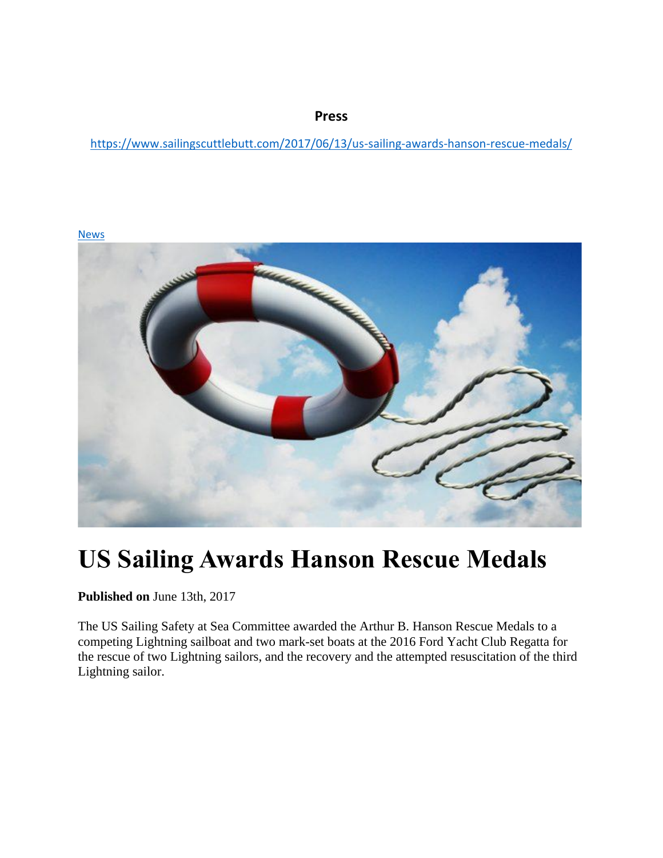**Press**

<https://www.sailingscuttlebutt.com/2017/06/13/us-sailing-awards-hanson-rescue-medals/>

[News](https://www.sailingscuttlebutt.com/category/general/)



# **US Sailing Awards Hanson Rescue Medals**

**Published on** June 13th, 2017

The US Sailing Safety at Sea Committee awarded the Arthur B. Hanson Rescue Medals to a competing Lightning sailboat and two mark-set boats at the 2016 Ford Yacht Club Regatta for the rescue of two Lightning sailors, and the recovery and the attempted resuscitation of the third Lightning sailor.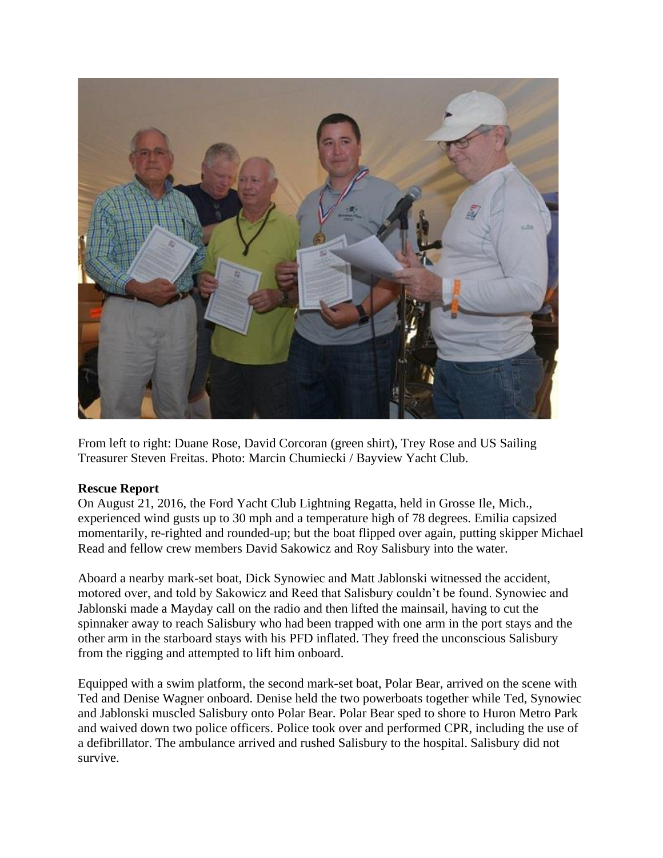

From left to right: Duane Rose, David Corcoran (green shirt), Trey Rose and US Sailing Treasurer Steven Freitas. Photo: Marcin Chumiecki / Bayview Yacht Club.

#### **Rescue Report**

On August 21, 2016, the Ford Yacht Club Lightning Regatta, held in Grosse Ile, Mich., experienced wind gusts up to 30 mph and a temperature high of 78 degrees. Emilia capsized momentarily, re-righted and rounded-up; but the boat flipped over again, putting skipper Michael Read and fellow crew members David Sakowicz and Roy Salisbury into the water.

Aboard a nearby mark-set boat, Dick Synowiec and Matt Jablonski witnessed the accident, motored over, and told by Sakowicz and Reed that Salisbury couldn't be found. Synowiec and Jablonski made a Mayday call on the radio and then lifted the mainsail, having to cut the spinnaker away to reach Salisbury who had been trapped with one arm in the port stays and the other arm in the starboard stays with his PFD inflated. They freed the unconscious Salisbury from the rigging and attempted to lift him onboard.

Equipped with a swim platform, the second mark-set boat, Polar Bear, arrived on the scene with Ted and Denise Wagner onboard. Denise held the two powerboats together while Ted, Synowiec and Jablonski muscled Salisbury onto Polar Bear. Polar Bear sped to shore to Huron Metro Park and waived down two police officers. Police took over and performed CPR, including the use of a defibrillator. The ambulance arrived and rushed Salisbury to the hospital. Salisbury did not survive.